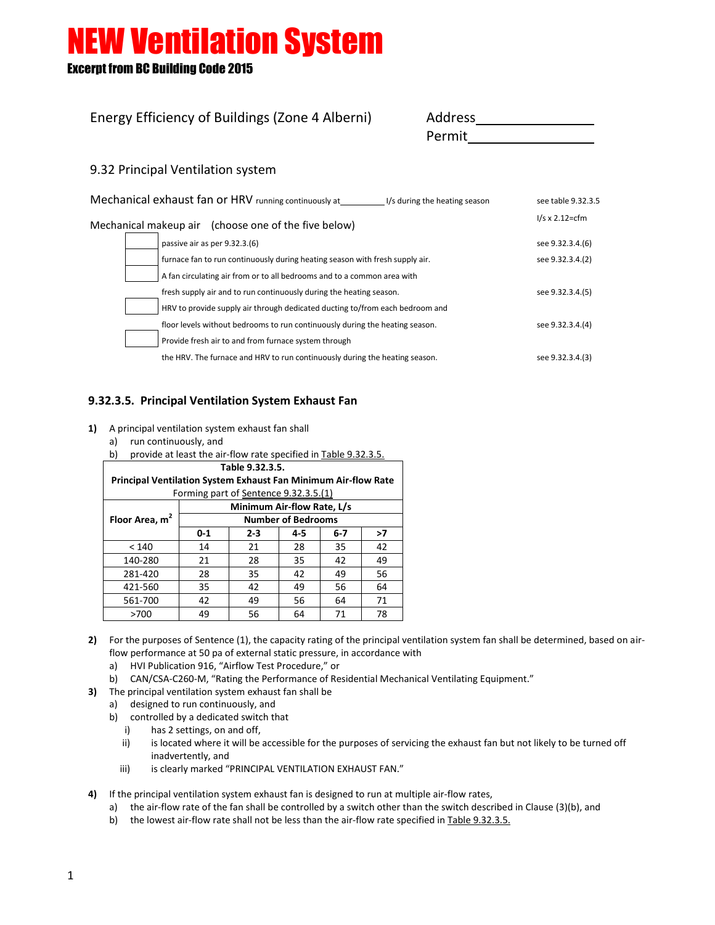Energy Efficiency of Buildings (Zone 4 Alberni)

Excerpt from BC Building Code 2015

| Address |  |
|---------|--|
| Permit  |  |

#### 9.32 Principal Ventilation system

| Mechanical exhaust fan or HRV running continuously at | see table 9.32.3.5                                                           |                         |
|-------------------------------------------------------|------------------------------------------------------------------------------|-------------------------|
|                                                       | Mechanical makeup air (choose one of the five below)                         | $1/s \times 2.12 = cfm$ |
|                                                       | passive air as per 9.32.3.(6)                                                | see 9.32.3.4.(6)        |
|                                                       | furnace fan to run continuously during heating season with fresh supply air. | see 9.32.3.4.(2)        |
|                                                       | A fan circulating air from or to all bedrooms and to a common area with      |                         |
|                                                       | fresh supply air and to run continuously during the heating season.          | see 9.32.3.4.(5)        |
|                                                       | HRV to provide supply air through dedicated ducting to/from each bedroom and |                         |
|                                                       | floor levels without bedrooms to run continuously during the heating season. | see 9.32.3.4.(4)        |
|                                                       | Provide fresh air to and from furnace system through                         |                         |
|                                                       | the HRV. The furnace and HRV to run continuously during the heating season.  | see 9.32.3.4.(3)        |

#### **9.32.3.5. Principal Ventilation System Exhaust Fan**

- **1)** A principal ventilation system exhaust fan shall
	- a) run continuously, and
	- b) provide at least the air-flow rate specified in Table 9.32.3.5.

| Table 9.32.3.5.                                                       |                           |         |     |       |    |  |  |  |
|-----------------------------------------------------------------------|---------------------------|---------|-----|-------|----|--|--|--|
| <b>Principal Ventilation System Exhaust Fan Minimum Air-flow Rate</b> |                           |         |     |       |    |  |  |  |
| Forming part of Sentence 9.32.3.5.(1)                                 |                           |         |     |       |    |  |  |  |
| Minimum Air-flow Rate, L/s                                            |                           |         |     |       |    |  |  |  |
| Floor Area, m <sup>2</sup>                                            | <b>Number of Bedrooms</b> |         |     |       |    |  |  |  |
|                                                                       | $0 - 1$                   | $2 - 3$ | 4-5 | $6-7$ | >7 |  |  |  |
| < 140                                                                 | 14                        | 21      | 28  | 35    | 42 |  |  |  |
| 140-280                                                               | 21                        | 28      | 35  | 42    | 49 |  |  |  |
| 281-420                                                               | 28                        | 35      | 42  | 49    | 56 |  |  |  |
| 421-560                                                               | 35                        | 42      | 49  | 56    | 64 |  |  |  |
| 561-700                                                               | 42                        | 49      | 56  | 64    | 71 |  |  |  |
| >700                                                                  | 49                        | 56      | 64  | 71    | 78 |  |  |  |

- **2)** For the purposes of Sentence (1), the capacity rating of the principal ventilation system fan shall be determined, based on airflow performance at 50 pa of external static pressure, in accordance with
	- a) HVI Publication 916, "Airflow Test Procedure," or
	- b) CAN/CSA-C260-M, "Rating the Performance of Residential Mechanical Ventilating Equipment."
- **3)** The principal ventilation system exhaust fan shall be
	- a) designed to run continuously, and
	- b) controlled by a dedicated switch that
		- i) has 2 settings, on and off,
		- ii) is located where it will be accessible for the purposes of servicing the exhaust fan but not likely to be turned off inadvertently, and
		- iii) is clearly marked "PRINCIPAL VENTILATION EXHAUST FAN."
- **4)** If the principal ventilation system exhaust fan is designed to run at multiple air-flow rates,
	- a) the air-flow rate of the fan shall be controlled by a switch other than the switch described in Clause (3)(b), and
	- b) the lowest air-flow rate shall not be less than the air-flow rate specified in Table 9.32.3.5.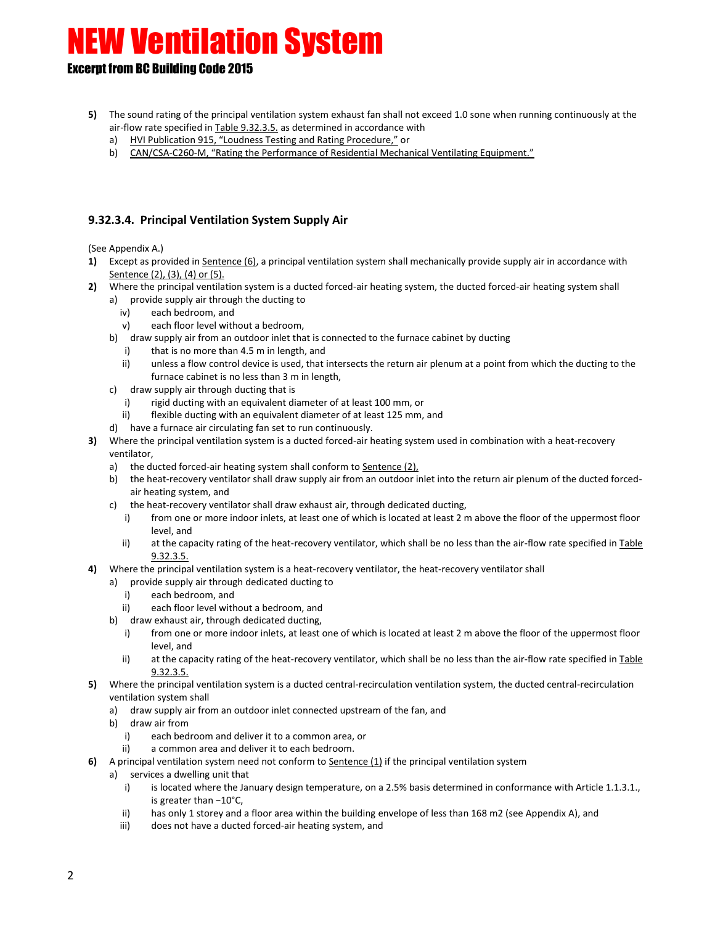#### Excerpt from BC Building Code 2015

- **5)** The sound rating of the principal ventilation system exhaust fan shall not exceed 1.0 sone when running continuously at the air-flow rate specified in Table 9.32.3.5. as determined in accordance with
	- a) HVI Publication 915, "Loudness Testing and Rating Procedure," or
	- b) CAN/CSA-C260-M, "Rating the Performance of Residential Mechanical Ventilating Equipment."

#### **9.32.3.4. Principal Ventilation System Supply Air**

(See Appendix A.)

- **1)** Except as provided in Sentence (6), a principal ventilation system shall mechanically provide supply air in accordance with Sentence (2), (3), (4) or (5).
- **2)** Where the principal ventilation system is a ducted forced-air heating system, the ducted forced-air heating system shall
	- a) provide supply air through the ducting to
		- iv) each bedroom, and
		- v) each floor level without a bedroom,
	- b) draw supply air from an outdoor inlet that is connected to the furnace cabinet by ducting
		- i) that is no more than 4.5 m in length, and
		- ii) unless a flow control device is used, that intersects the return air plenum at a point from which the ducting to the furnace cabinet is no less than 3 m in length,
	- c) draw supply air through ducting that is
		- i) rigid ducting with an equivalent diameter of at least 100 mm, or
		- ii) flexible ducting with an equivalent diameter of at least 125 mm, and
	- d) have a furnace air circulating fan set to run continuously.
- **3)** Where the principal ventilation system is a ducted forced-air heating system used in combination with a heat-recovery ventilator,
	- a) the ducted forced-air heating system shall conform to Sentence (2),
	- b) the heat-recovery ventilator shall draw supply air from an outdoor inlet into the return air plenum of the ducted forcedair heating system, and
	- c) the heat-recovery ventilator shall draw exhaust air, through dedicated ducting,
		- i) from one or more indoor inlets, at least one of which is located at least 2 m above the floor of the uppermost floor level, and
		- ii) at the capacity rating of the heat-recovery ventilator, which shall be no less than the air-flow rate specified in Table 9.32.3.5.
- **4)** Where the principal ventilation system is a heat-recovery ventilator, the heat-recovery ventilator shall
	- a) provide supply air through dedicated ducting to
		- i) each bedroom, and
		- ii) each floor level without a bedroom, and
	- b) draw exhaust air, through dedicated ducting,
		- i) from one or more indoor inlets, at least one of which is located at least 2 m above the floor of the uppermost floor level, and
		- ii) at the capacity rating of the heat-recovery ventilator, which shall be no less than the air-flow rate specified in Table 9.32.3.5.
- **5)** Where the principal ventilation system is a ducted central-recirculation ventilation system, the ducted central-recirculation ventilation system shall
	- a) draw supply air from an outdoor inlet connected upstream of the fan, and
	- b) draw air from
		- i) each bedroom and deliver it to a common area, or
		- ii) a common area and deliver it to each bedroom.
- **6)** A principal ventilation system need not conform to Sentence (1) if the principal ventilation system
	- a) services a dwelling unit that
		- i) is located where the January design temperature, on a 2.5% basis determined in conformance with Article 1.1.3.1., is greater than −10°C,
		- ii) has only 1 storey and a floor area within the building envelope of less than 168 m2 (see Appendix A), and
		- iii) does not have a ducted forced-air heating system, and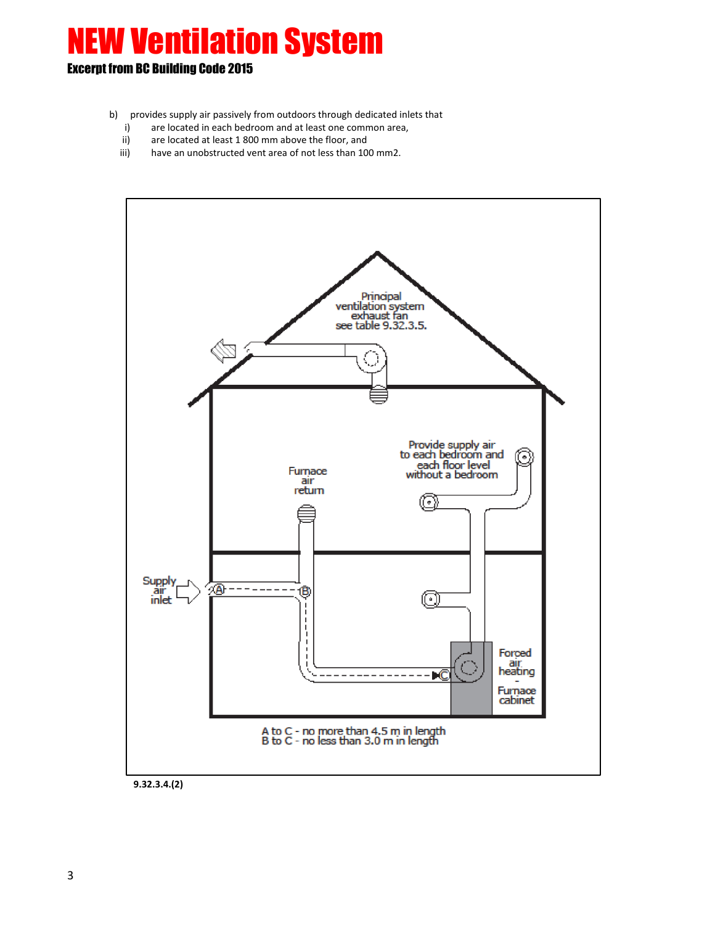- b) provides supply air passively from outdoors through dedicated inlets that
	- i) are located in each bedroom and at least one common area,
	- ii) are located at least 1 800 mm above the floor, and
	- iii) have an unobstructed vent area of not less than 100 mm2.



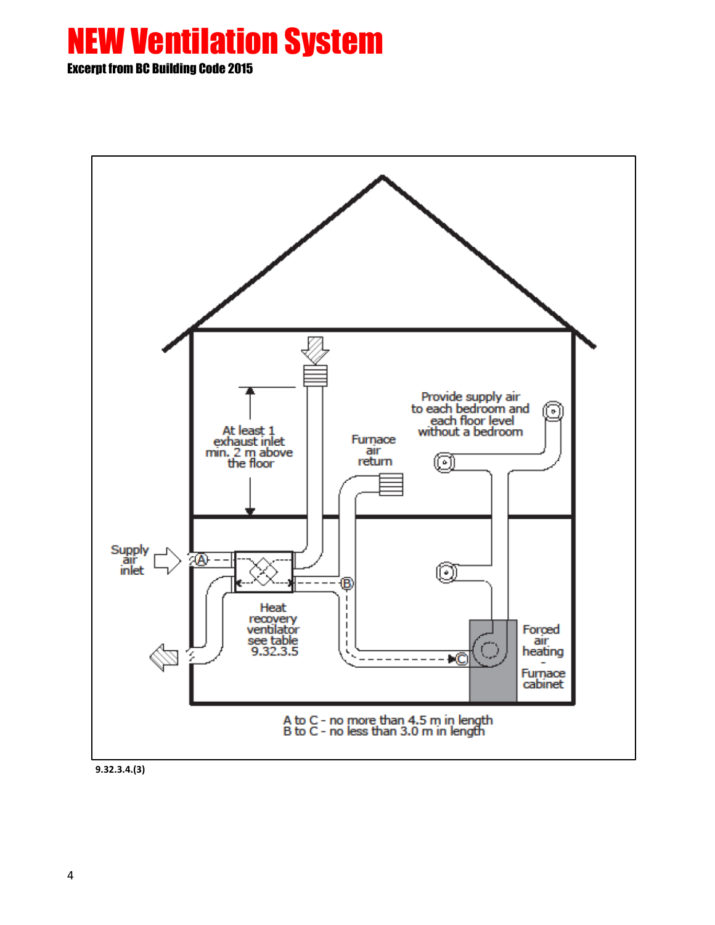

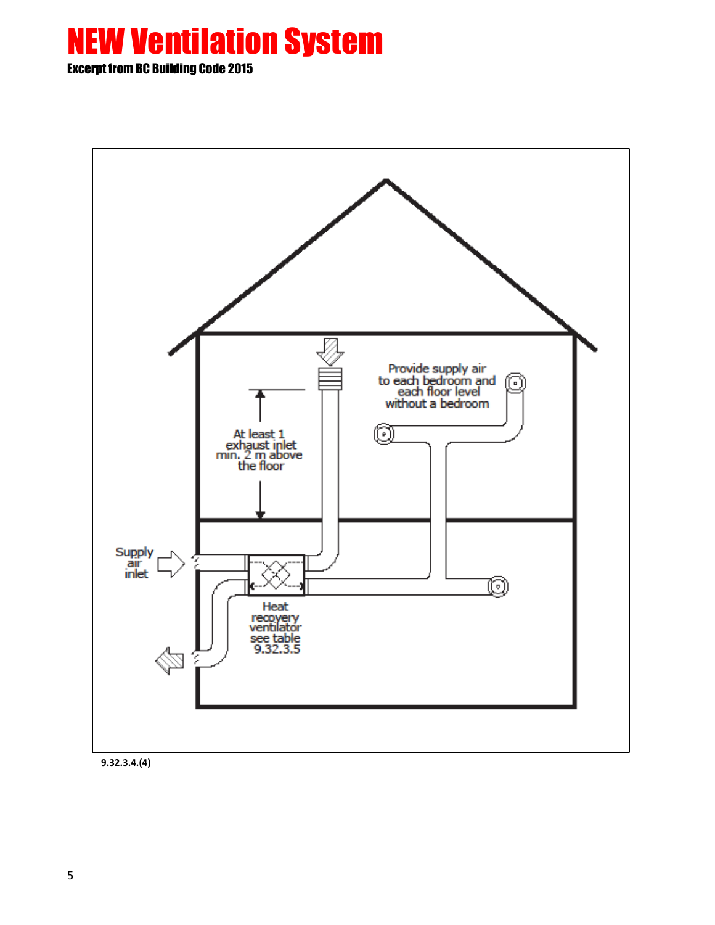

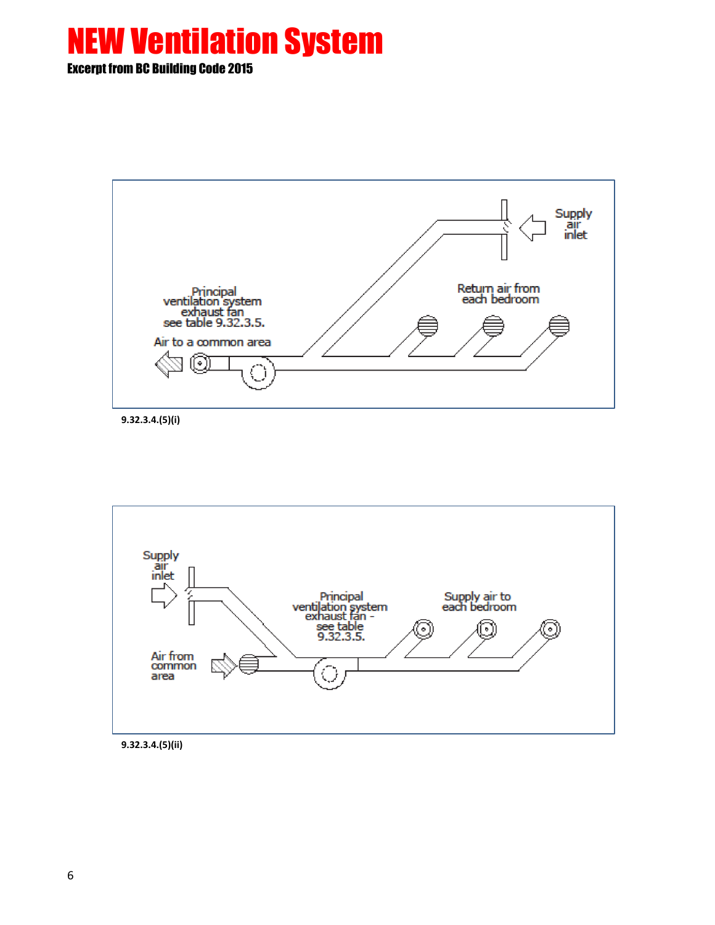

**9.32.3.4.(5)(i)**



**9.32.3.4.(5)(ii)**